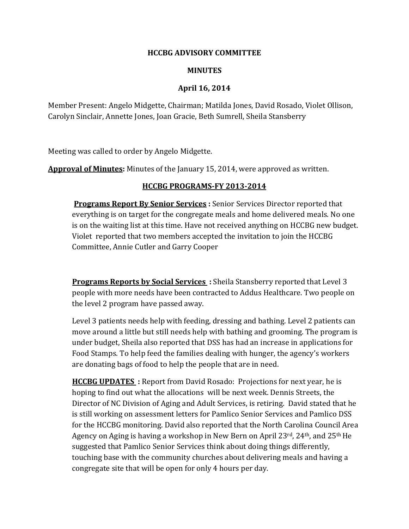## **HCCBG ADVISORY COMMITTEE**

## **MINUTES**

## **April 16, 2014**

Member Present: Angelo Midgette, Chairman; Matilda Jones, David Rosado, Violet Ollison, Carolyn Sinclair, Annette Jones, Joan Gracie, Beth Sumrell, Sheila Stansberry

Meeting was called to order by Angelo Midgette.

**Approval of Minutes:** Minutes of the January 15, 2014, were approved as written.

## **HCCBG PROGRAMS-FY 2013-2014**

**Programs Report By Senior Services :** Senior Services Director reported that everything is on target for the congregate meals and home delivered meals. No one is on the waiting list at this time. Have not received anything on HCCBG new budget. Violet reported that two members accepted the invitation to join the HCCBG Committee, Annie Cutler and Garry Cooper

**Programs Reports by Social Services :** Sheila Stansberry reported that Level 3 people with more needs have been contracted to Addus Healthcare. Two people on the level 2 program have passed away.

Level 3 patients needs help with feeding, dressing and bathing. Level 2 patients can move around a little but still needs help with bathing and grooming. The program is under budget, Sheila also reported that DSS has had an increase in applications for Food Stamps. To help feed the families dealing with hunger, the agency's workers are donating bags of food to help the people that are in need.

**HCCBG UPDATES :** Report from David Rosado: Projections for next year, he is hoping to find out what the allocations will be next week. Dennis Streets, the Director of NC Division of Aging and Adult Services, is retiring. David stated that he is still working on assessment letters for Pamlico Senior Services and Pamlico DSS for the HCCBG monitoring. David also reported that the North Carolina Council Area Agency on Aging is having a workshop in New Bern on April 23rd, 24th, and 25th He suggested that Pamlico Senior Services think about doing things differently, touching base with the community churches about delivering meals and having a congregate site that will be open for only 4 hours per day.